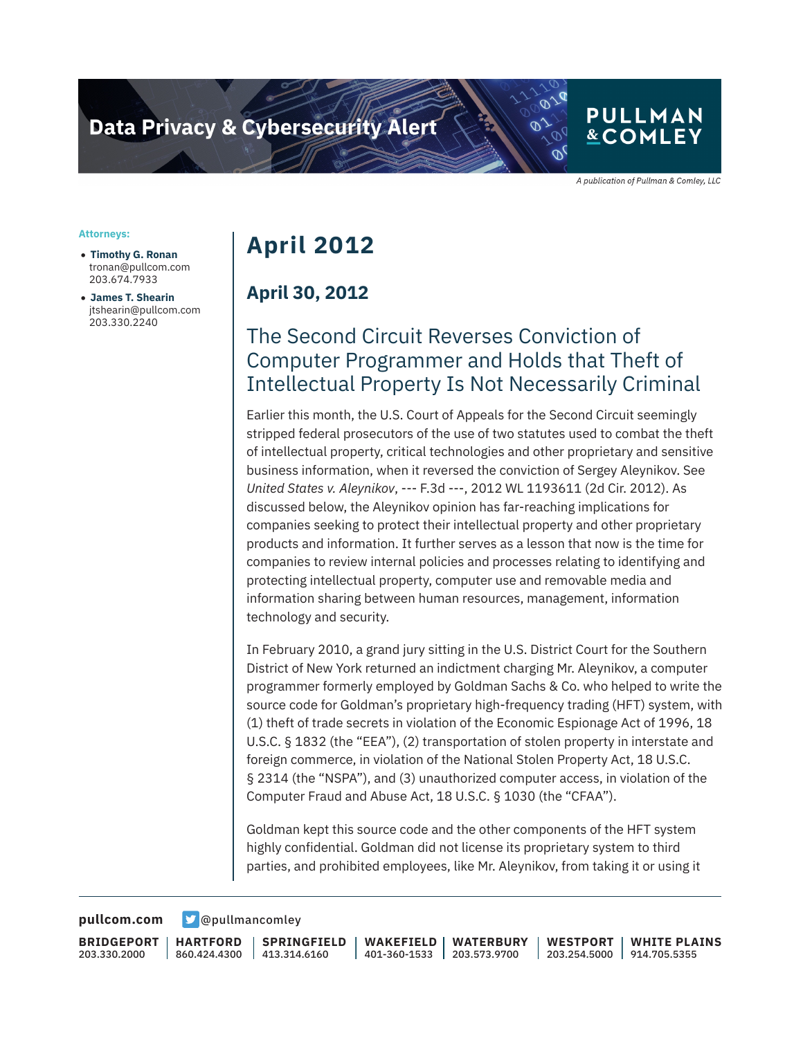## **PULLMAN &COMLEY**

A publication of Pullman & Comley, LLC

#### **Attorneys:**

- **Timothy G. Ronan** tronan@pullcom.com 203.674.7933
- **James T. Shearin** jtshearin@pullcom.com 203.330.2240

# **April 2012**

#### **April 30, 2012**

## The Second Circuit Reverses Conviction of Computer Programmer and Holds that Theft of Intellectual Property Is Not Necessarily Criminal

Earlier this month, the U.S. Court of Appeals for the Second Circuit seemingly stripped federal prosecutors of the use of two statutes used to combat the theft of intellectual property, critical technologies and other proprietary and sensitive business information, when it reversed the conviction of Sergey Aleynikov. See *United States v. Aleynikov*, --- F.3d ---, 2012 WL 1193611 (2d Cir. 2012). As discussed below, the Aleynikov opinion has far-reaching implications for companies seeking to protect their intellectual property and other proprietary products and information. It further serves as a lesson that now is the time for companies to review internal policies and processes relating to identifying and protecting intellectual property, computer use and removable media and information sharing between human resources, management, information technology and security.

In February 2010, a grand jury sitting in the U.S. District Court for the Southern District of New York returned an indictment charging Mr. Aleynikov, a computer programmer formerly employed by Goldman Sachs & Co. who helped to write the source code for Goldman's proprietary high-frequency trading (HFT) system, with (1) theft of trade secrets in violation of the Economic Espionage Act of 1996, 18 U.S.C. § 1832 (the "EEA"), (2) transportation of stolen property in interstate and foreign commerce, in violation of the National Stolen Property Act, 18 U.S.C. § 2314 (the "NSPA"), and (3) unauthorized computer access, in violation of the Computer Fraud and Abuse Act, 18 U.S.C. § 1030 (the "CFAA").

Goldman kept this source code and the other components of the HFT system highly confidential. Goldman did not license its proprietary system to third parties, and prohibited employees, like Mr. Aleynikov, from taking it or using it

**[pullcom.com](https://www.pullcom.com) g** [@pullmancomley](https://twitter.com/PullmanComley)

**BRIDGEPORT** 203.330.2000

**HARTFORD** 860.424.4300

**SPRINGFIELD** 413.314.6160

**WAKEFIELD** 401-360-1533 **WATERBURY** 203.573.9700 **WESTPORT**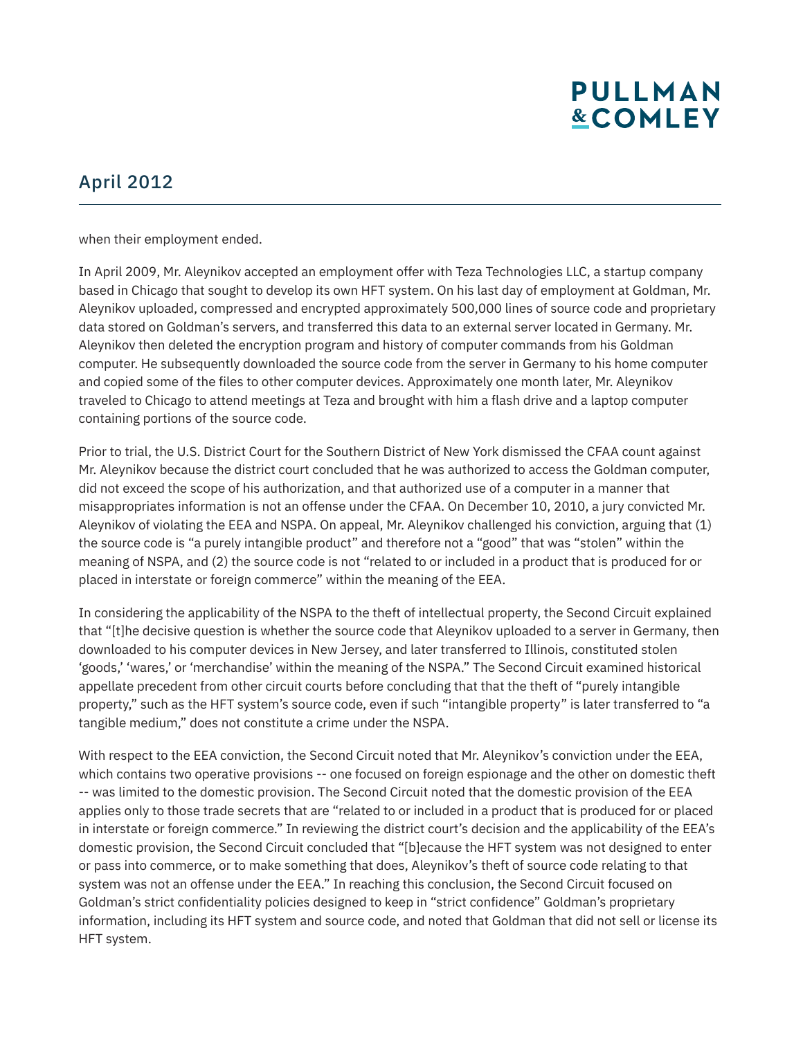# **PULLMAN &COMLEY**

### April 2012

when their employment ended.

In April 2009, Mr. Aleynikov accepted an employment offer with Teza Technologies LLC, a startup company based in Chicago that sought to develop its own HFT system. On his last day of employment at Goldman, Mr. Aleynikov uploaded, compressed and encrypted approximately 500,000 lines of source code and proprietary data stored on Goldman's servers, and transferred this data to an external server located in Germany. Mr. Aleynikov then deleted the encryption program and history of computer commands from his Goldman computer. He subsequently downloaded the source code from the server in Germany to his home computer and copied some of the files to other computer devices. Approximately one month later, Mr. Aleynikov traveled to Chicago to attend meetings at Teza and brought with him a flash drive and a laptop computer containing portions of the source code.

Prior to trial, the U.S. District Court for the Southern District of New York dismissed the CFAA count against Mr. Aleynikov because the district court concluded that he was authorized to access the Goldman computer, did not exceed the scope of his authorization, and that authorized use of a computer in a manner that misappropriates information is not an offense under the CFAA. On December 10, 2010, a jury convicted Mr. Aleynikov of violating the EEA and NSPA. On appeal, Mr. Aleynikov challenged his conviction, arguing that (1) the source code is "a purely intangible product" and therefore not a "good" that was "stolen" within the meaning of NSPA, and (2) the source code is not "related to or included in a product that is produced for or placed in interstate or foreign commerce" within the meaning of the EEA.

In considering the applicability of the NSPA to the theft of intellectual property, the Second Circuit explained that "[t]he decisive question is whether the source code that Aleynikov uploaded to a server in Germany, then downloaded to his computer devices in New Jersey, and later transferred to Illinois, constituted stolen 'goods,' 'wares,' or 'merchandise' within the meaning of the NSPA." The Second Circuit examined historical appellate precedent from other circuit courts before concluding that that the theft of "purely intangible property," such as the HFT system's source code, even if such "intangible property" is later transferred to "a tangible medium," does not constitute a crime under the NSPA.

With respect to the EEA conviction, the Second Circuit noted that Mr. Aleynikov's conviction under the EEA, which contains two operative provisions -- one focused on foreign espionage and the other on domestic theft -- was limited to the domestic provision. The Second Circuit noted that the domestic provision of the EEA applies only to those trade secrets that are "related to or included in a product that is produced for or placed in interstate or foreign commerce." In reviewing the district court's decision and the applicability of the EEA's domestic provision, the Second Circuit concluded that "[b]ecause the HFT system was not designed to enter or pass into commerce, or to make something that does, Aleynikov's theft of source code relating to that system was not an offense under the EEA." In reaching this conclusion, the Second Circuit focused on Goldman's strict confidentiality policies designed to keep in "strict confidence" Goldman's proprietary information, including its HFT system and source code, and noted that Goldman that did not sell or license its HFT system.